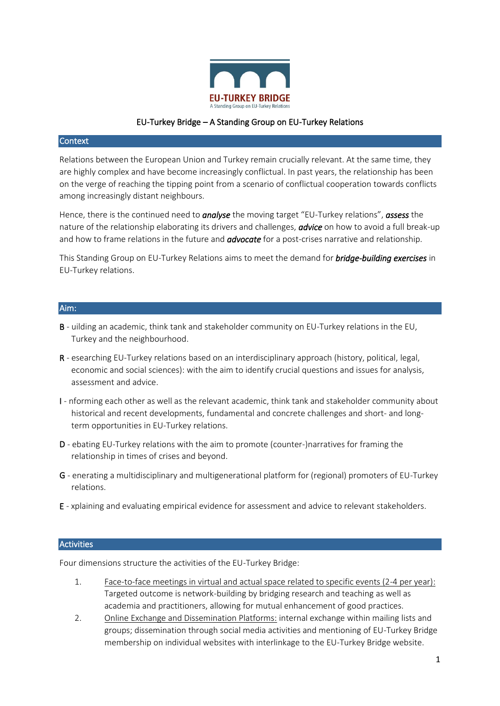

# EU-Turkey Bridge – A Standing Group on EU-Turkey Relations

### Context

Relations between the European Union and Turkey remain crucially relevant. At the same time, they are highly complex and have become increasingly conflictual. In past years, the relationship has been on the verge of reaching the tipping point from a scenario of conflictual cooperation towards conflicts among increasingly distant neighbours.

Hence, there is the continued need to *analyse* the moving target "EU-Turkey relations", *assess* the nature of the relationship elaborating its drivers and challenges, *advice* on how to avoid a full break-up and how to frame relations in the future and *advocate* for a post-crises narrative and relationship.

This Standing Group on EU-Turkey Relations aims to meet the demand for *bridge-building exercises* in EU-Turkey relations.

### Aim:

- B uilding an academic, think tank and stakeholder community on EU-Turkey relations in the EU, Turkey and the neighbourhood.
- R esearching EU-Turkey relations based on an interdisciplinary approach (history, political, legal, economic and social sciences): with the aim to identify crucial questions and issues for analysis, assessment and advice.
- I nforming each other as well as the relevant academic, think tank and stakeholder community about historical and recent developments, fundamental and concrete challenges and short- and longterm opportunities in EU-Turkey relations.
- D ebating EU-Turkey relations with the aim to promote (counter-)narratives for framing the relationship in times of crises and beyond.
- G enerating a multidisciplinary and multigenerational platform for (regional) promoters of EU-Turkey relations.
- E xplaining and evaluating empirical evidence for assessment and advice to relevant stakeholders.

#### **Activities**

Four dimensions structure the activities of the EU-Turkey Bridge:

- 1. Face-to-face meetings in virtual and actual space related to specific events (2-4 per year): Targeted outcome is network-building by bridging research and teaching as well as academia and practitioners, allowing for mutual enhancement of good practices.
- 2. Online Exchange and Dissemination Platforms: internal exchange within mailing lists and groups; dissemination through social media activities and mentioning of EU-Turkey Bridge membership on individual websites with interlinkage to the EU-Turkey Bridge website.